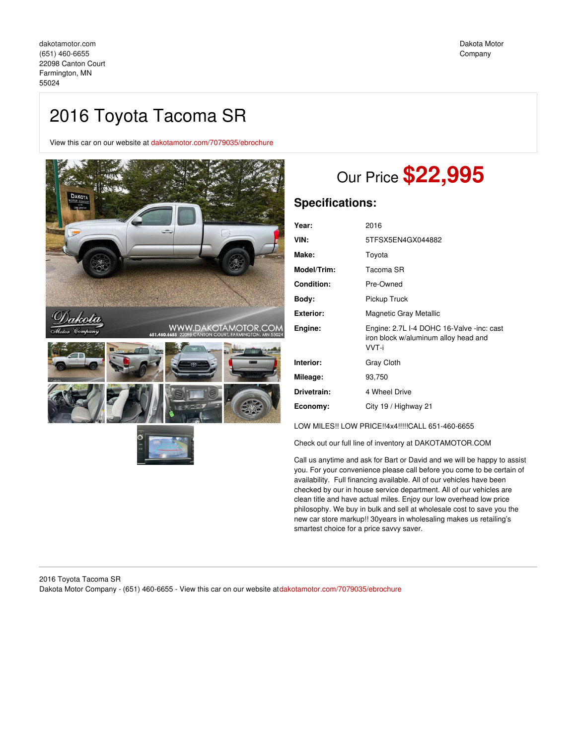View this car on our website at [dakotamotor.com/7079035/ebrochure](https://dakotamotor.com/vehicle/7079035/2016-toyota-tacoma-sr-farmington-mn-55024/7079035/ebrochure)



# Our Price **\$22,995**

### **Specifications:**

| Year:              | 2016                                                                                       |
|--------------------|--------------------------------------------------------------------------------------------|
| VIN:               | 5TFSX5EN4GX044882                                                                          |
| Make:              | Toyota                                                                                     |
| <b>Model/Trim:</b> | Tacoma SR                                                                                  |
| <b>Condition:</b>  | Pre-Owned                                                                                  |
| Bodv:              | Pickup Truck                                                                               |
| Exterior:          | Magnetic Gray Metallic                                                                     |
| Engine:            | Engine: 2.7L I-4 DOHC 16-Valve -inc: cast<br>iron block w/aluminum alloy head and<br>VVT-i |
| Interior:          | Gray Cloth                                                                                 |
| Mileage:           | 93,750                                                                                     |
| Drivetrain:        | 4 Wheel Drive                                                                              |
| Economy:           | City 19 / Highway 21                                                                       |

LOW MILES!! LOW PRICE!!4x4!!!!!CALL 651-460-6655

Check out our full line of inventory at DAKOTAMOTOR.COM

Call us anytime and ask for Bart or David and we will be happy to assist you. For your convenience please call before you come to be certain of availability. Full financing available. All of our vehicles have been checked by our in house service department. All of our vehicles are clean title and have actual miles. Enjoy our low overhead low price philosophy. We buy in bulk and sell at wholesale cost to save you the new car store markup!! 30years in wholesaling makes us retailing's smartest choice for a price savvy saver.

### 2016 Toyota Tacoma SR Dakota Motor Company - (651) 460-6655 - View this car on our website at[dakotamotor.com/7079035/ebrochure](https://dakotamotor.com/vehicle/7079035/2016-toyota-tacoma-sr-farmington-mn-55024/7079035/ebrochure)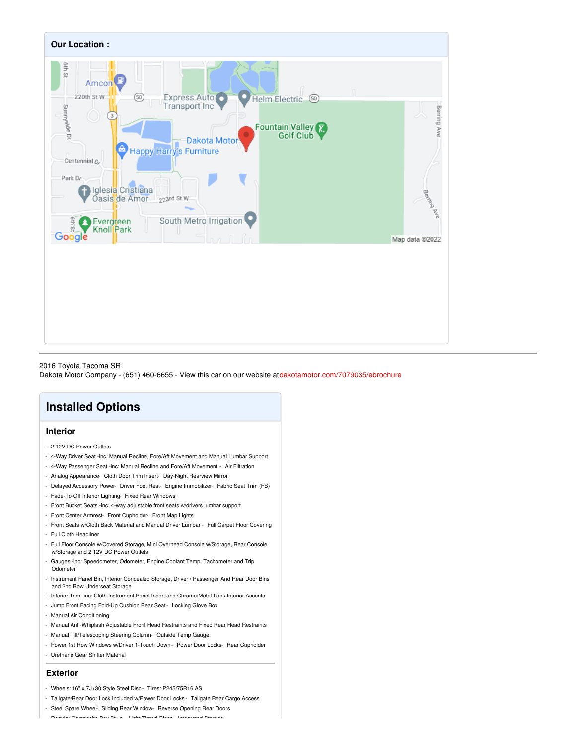

### 2016 Toyota Tacoma SR Dakota Motor Company - (651) 460-6655 - View this car on our website at[dakotamotor.com/7079035/ebrochure](https://dakotamotor.com/vehicle/7079035/2016-toyota-tacoma-sr-farmington-mn-55024/7079035/ebrochure)

## **Installed Options**

### **Interior**

- 2 12V DC Power Outlets
- 4-Way Driver Seat -inc: Manual Recline, Fore/Aft Movement and Manual Lumbar Support
- 4-Way Passenger Seat -inc: Manual Recline and Fore/Aft Movement Air Filtration
- Analog Appearance- Cloth Door Trim Insert- Day-Night Rearview Mirror
- Delayed Accessory Power- Driver Foot Rest- Engine Immobilizer- Fabric Seat Trim (FB)
- Fade-To-Off Interior Lighting- Fixed Rear Windows
- Front Bucket Seats -inc: 4-way adjustable front seats w/drivers lumbar support
- Front Center Armrest- Front Cupholder- Front Map Lights
- Front Seats w/Cloth Back Material and Manual Driver Lumbar Full Carpet Floor Covering - Full Cloth Headliner
- Full Floor Console w/Covered Storage, Mini Overhead Console w/Storage, Rear Console w/Storage and 2 12V DC Power Outlets
- Gauges -inc: Speedometer, Odometer, Engine Coolant Temp, Tachometer and Trip Odometer
- Instrument Panel Bin, Interior Concealed Storage, Driver / Passenger And Rear Door Bins and 2nd Row Underseat Storage
- Interior Trim -inc: Cloth Instrument Panel Insert and Chrome/Metal-Look Interior Accents
- Jump Front Facing Fold-Up Cushion Rear Seat- Locking Glove Box
- Manual Air Conditioning
- Manual Anti-Whiplash Adjustable Front Head Restraints and Fixed Rear Head Restraints
- Manual Tilt/Telescoping Steering Column- Outside Temp Gauge
- Power 1st Row Windows w/Driver 1-Touch Down Power Door Locks- Rear Cupholder - Urethane Gear Shifter Material

### **Exterior**

- Wheels: 16" x 7J+30 Style Steel Disc- Tires: P245/75R16 AS
- Tailgate/Rear Door Lock Included w/Power Door Locks Tailgate Rear Cargo Access
- Steel Spare Wheel- Sliding Rear Window- Reverse Opening Rear Doors
- Regular Composite Box Style- Light Tinted Glass- Integrated Storage